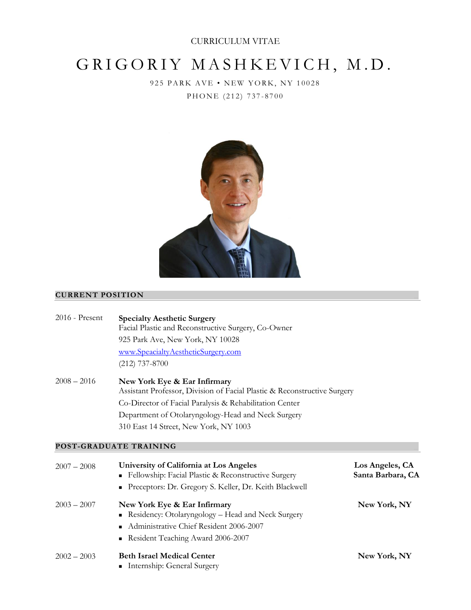# GRIGORIY MASHKEVICH, M.D.

9 25 PARK AVE • NEW YORK, NY 10028 PHONE (212) 737-8700



# **CURRENT POSITION \_**

| $2016$ - Present | <b>Specialty Aesthetic Surgery</b><br>Facial Plastic and Reconstructive Surgery, Co-Owner<br>925 Park Ave, New York, NY 10028<br>www.SpeacialtyAestheticSurgery.com<br>$(212)$ 737-8700                                                                            |                                      |
|------------------|--------------------------------------------------------------------------------------------------------------------------------------------------------------------------------------------------------------------------------------------------------------------|--------------------------------------|
| $2008 - 2016$    | New York Eye & Ear Infirmary<br>Assistant Professor, Division of Facial Plastic & Reconstructive Surgery<br>Co-Director of Facial Paralysis & Rehabilitation Center<br>Department of Otolaryngology-Head and Neck Surgery<br>310 East 14 Street, New York, NY 1003 |                                      |
|                  | POST-GRADUATE TRAINING                                                                                                                                                                                                                                             |                                      |
| $2007 - 2008$    | University of California at Los Angeles<br>Fellowship: Facial Plastic & Reconstructive Surgery<br>Preceptors: Dr. Gregory S. Keller, Dr. Keith Blackwell                                                                                                           | Los Angeles, CA<br>Santa Barbara, CA |
| $2003 - 2007$    | New York Eye & Ear Infirmary<br>Residency: Otolaryngology - Head and Neck Surgery<br>Administrative Chief Resident 2006-2007<br>Resident Teaching Award 2006-2007<br>٠                                                                                             | New York, NY                         |
| $2002 - 2003$    | <b>Beth Israel Medical Center</b><br>• Internship: General Surgery                                                                                                                                                                                                 | New York, NY                         |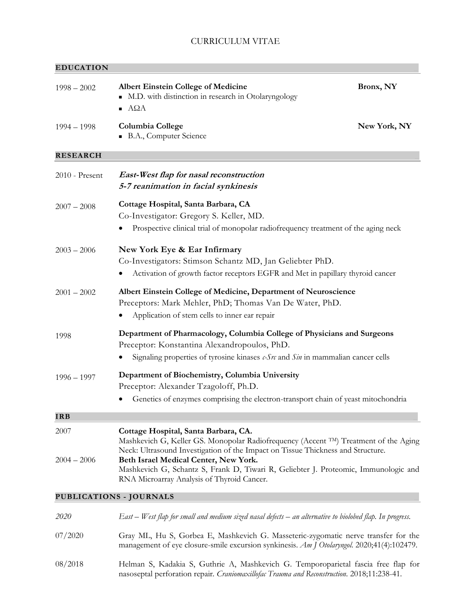## **EDUCATION \_**

| $1998 - 2002$    | <b>Albert Einstein College of Medicine</b><br>M.D. with distinction in research in Otolaryngology<br>ΑΩΑ<br>$\blacksquare$                                                                                       | Bronx, NY    |
|------------------|------------------------------------------------------------------------------------------------------------------------------------------------------------------------------------------------------------------|--------------|
| $1994 - 1998$    | Columbia College<br>B.A., Computer Science                                                                                                                                                                       | New York, NY |
| <b>RESEARCH</b>  |                                                                                                                                                                                                                  |              |
| $2010$ - Present | East-West flap for nasal reconstruction<br>5-7 reanimation in facial synkinesis                                                                                                                                  |              |
| $2007 - 2008$    | Cottage Hospital, Santa Barbara, CA<br>Co-Investigator: Gregory S. Keller, MD.<br>Prospective clinical trial of monopolar radiofrequency treatment of the aging neck                                             |              |
| $2003 - 2006$    | New York Eye & Ear Infirmary<br>Co-Investigators: Stimson Schantz MD, Jan Geliebter PhD.<br>Activation of growth factor receptors EGFR and Met in papillary thyroid cancer                                       |              |
| $2001 - 2002$    | Albert Einstein College of Medicine, Department of Neuroscience<br>Preceptors: Mark Mehler, PhD; Thomas Van De Water, PhD.<br>Application of stem cells to inner ear repair                                      |              |
| 1998             | Department of Pharmacology, Columbia College of Physicians and Surgeons<br>Preceptor: Konstantina Alexandropoulos, PhD.<br>Signaling properties of tyrosine kinases $c$ -S $r$ and Sin in mammalian cancer cells |              |
| $1996 - 1997$    | Department of Biochemistry, Columbia University<br>Preceptor: Alexander Tzagoloff, Ph.D.<br>Genetics of enzymes comprising the electron-transport chain of yeast mitochondria                                    |              |
| <b>IRB</b>       |                                                                                                                                                                                                                  |              |
| 2007             | Cottage Hospital, Santa Barbara, CA.<br>Mashkevich G, Keller GS. Monopolar Radiofrequency (Accent TM) Treatment of the Aging<br>Neck: Ultrasound Investigation of the Impact on Tissue Thickness and Structure.  |              |
| $2004 - 2006$    | Beth Israel Medical Center, New York.<br>Mashkevich G, Schantz S, Frank D, Tiwari R, Geliebter J. Proteomic, Immunologic and<br>RNA Microarray Analysis of Thyroid Cancer.                                       |              |
|                  | PUBLICATIONS - JOURNALS                                                                                                                                                                                          |              |
| 2020             | East – West flap for small and medium sized nasal defects – an alternative to biolobed flap. In progress.                                                                                                        |              |
| 07/2020          | Gray ML, Hu S, Gorbea E, Mashkevich G. Masseteric-zygomatic nerve transfer for the<br>management of eye closure-smile excursion synkinesis. Am J Otolaryngol. 2020;41(4):102479.                                 |              |

08/2018 Helman S, Kadakia S, Guthrie A, Mashkevich G. Temporoparietal fascia free flap for nasoseptal perforation repair*. Craniomaxillofac Trauma and Reconstruction.* 2018;11:238-41.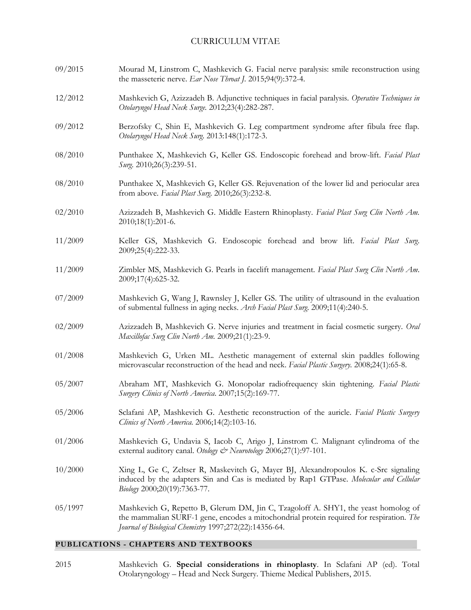09/2015 12/2012 09/2012 08/2010 08/2010 02/2010 11/2009 11/2009 07/2009 02/2009 01/2008 05/2007 05/2006 01/2006 10/2000 05/1997 Mourad M, Linstrom C, Mashkevich G. Facial nerve paralysis: smile reconstruction using the masseteric nerve. *Ear Nose Throat J.* 2015;94(9):372-4. Mashkevich G, Azizzadeh B. Adjunctive techniques in facial paralysis. *Operative Techniques in Otolaryngol Head Neck Surge.* 2012;23(4):282-287. Berzofsky C, Shin E, Mashkevich G. Leg compartment syndrome after fibula free flap. *Otolaryngol Head Neck Surg*. 2013:148(1):172-3. Punthakee X, Mashkevich G, Keller GS. Endoscopic forehead and brow-lift. *Facial Plast Surg.* 2010;26(3):239-51. Punthakee X, Mashkevich G, Keller GS. Rejuvenation of the lower lid and periocular area from above. *Facial Plast Surg.* 2010;26(3):232-8. Azizzadeh B, Mashkevich G. Middle Eastern Rhinoplasty. *Facial Plast Surg Clin North Am.* 2010;18(1):201-6. Keller GS, Mashkevich G. Endoscopic forehead and brow lift. *Facial Plast Surg*. 2009;25(4):222-33. Zimbler MS, Mashkevich G. Pearls in facelift management. *Facial Plast Surg Clin North Am*. 2009;17(4):625-32. Mashkevich G, Wang J, Rawnsley J, Keller GS. The utility of ultrasound in the evaluation of submental fullness in aging necks. *Arch Facial Plast Surg*. 2009;11(4):240-5. Azizzadeh B, Mashkevich G. Nerve injuries and treatment in facial cosmetic surgery. *Oral Maxillofac Surg Clin North Am.* 2009;21(1):23-9. Mashkevich G, Urken ML. Aesthetic management of external skin paddles following microvascular reconstruction of the head and neck. *Facial Plastic Surgery.* 2008;24(1):65-8. Abraham MT, Mashkevich G. Monopolar radiofrequency skin tightening. *Facial Plastic Surgery Clinics of North America*. 2007;15(2):169-77. Sclafani AP, Mashkevich G. Aesthetic reconstruction of the auricle. *Facial Plastic Surgery Clinics of North America.* 2006;14(2):103-16. Mashkevich G, Undavia S, Iacob C, Arigo J, Linstrom C. Malignant cylindroma of the external auditory canal. *Otology & Neurotology* 2006;27(1):97-101. Xing L, Ge C, Zeltser R, Maskevitch G, Mayer BJ, Alexandropoulos K. c-Src signaling induced by the adapters Sin and Cas is mediated by Rap1 GTPase. *Molecular and Cellular Biology* 2000;20(19):7363-77. Mashkevich G, Repetto B, Glerum DM, Jin C, Tzagoloff A. SHY1, the yeast homolog of the mammalian SURF-1 gene, encodes a mitochondrial protein required for respiration. *The Journal of Biological Chemistry* 1997;272(22):14356-64.

### **PUBLICATIONS - CHAPTERS AND TEXTBOOKS \_**

2015 Mashkevich G. **Special considerations in rhinoplasty**. In Sclafani AP (ed). Total Otolaryngology – Head and Neck Surgery. Thieme Medical Publishers, 2015.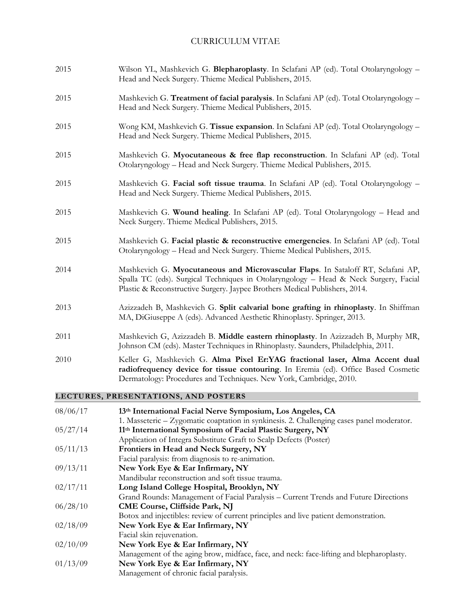| 08/06/17 | 13th International Facial Nerve Symposium, Los Angeles, CA                                                                                                                                                                                              |
|----------|---------------------------------------------------------------------------------------------------------------------------------------------------------------------------------------------------------------------------------------------------------|
|          | LECTURES, PRESENTATIONS, AND POSTERS                                                                                                                                                                                                                    |
| 2010     | Keller G, Mashkevich G. Alma Pixel Er:YAG fractional laser, Alma Accent dual<br>radiofrequency device for tissue contouring. In Eremia (ed). Office Based Cosmetic<br>Dermatology: Procedures and Techniques. New York, Cambridge, 2010.                |
| 2011     | Mashkevich G, Azizzadeh B. Middle eastern rhinoplasty. In Azizzadeh B, Murphy MR,<br>Johnson CM (eds). Master Techniques in Rhinoplasty. Saunders, Philadelphia, 2011.                                                                                  |
| 2013     | Azizzadeh B, Mashkevich G. Split calvarial bone grafting in rhinoplasty. In Shiffman<br>MA, DiGiuseppe A (eds). Advanced Aesthetic Rhinoplasty. Springer, 2013.                                                                                         |
| 2014     | Mashkevich G. Myocutaneous and Microvascular Flaps. In Sataloff RT, Sclafani AP,<br>Spalla TC (eds). Surgical Techniques in Otolaryngology - Head & Neck Surgery, Facial<br>Plastic & Reconstructive Surgery. Jaypee Brothers Medical Publishers, 2014. |
| 2015     | Mashkevich G. Facial plastic & reconstructive emergencies. In Sclafani AP (ed). Total<br>Otolaryngology - Head and Neck Surgery. Thieme Medical Publishers, 2015.                                                                                       |
| 2015     | Mashkevich G. Wound healing. In Sclafani AP (ed). Total Otolaryngology - Head and<br>Neck Surgery. Thieme Medical Publishers, 2015.                                                                                                                     |
| 2015     | Mashkevich G. Facial soft tissue trauma. In Sclafani AP (ed). Total Otolaryngology -<br>Head and Neck Surgery. Thieme Medical Publishers, 2015.                                                                                                         |
| 2015     | Mashkevich G. Myocutaneous & free flap reconstruction. In Sclafani AP (ed). Total<br>Otolaryngology - Head and Neck Surgery. Thieme Medical Publishers, 2015.                                                                                           |
| 2015     | Wong KM, Mashkevich G. Tissue expansion. In Sclafani AP (ed). Total Otolaryngology -<br>Head and Neck Surgery. Thieme Medical Publishers, 2015.                                                                                                         |
| 2015     | Mashkevich G. Treatment of facial paralysis. In Sclafani AP (ed). Total Otolaryngology -<br>Head and Neck Surgery. Thieme Medical Publishers, 2015.                                                                                                     |
| 2015     | Wilson YL, Mashkevich G. Blepharoplasty. In Sclafani AP (ed). Total Otolaryngology -<br>Head and Neck Surgery. Thieme Medical Publishers, 2015.                                                                                                         |

|          | 1. Masseteric – Zygomatic coaptation in synkinesis. 2. Challenging cases panel moderator. |
|----------|-------------------------------------------------------------------------------------------|
| 05/27/14 | 11th International Symposium of Facial Plastic Surgery, NY                                |
|          | Application of Integra Substitute Graft to Scalp Defects (Poster)                         |
| 05/11/13 | Frontiers in Head and Neck Surgery, NY                                                    |
|          | Facial paralysis: from diagnosis to re-animation.                                         |
| 09/13/11 | New York Eye & Ear Infirmary, NY                                                          |
|          | Mandibular reconstruction and soft tissue trauma.                                         |
| 02/17/11 | Long Island College Hospital, Brooklyn, NY                                                |
|          | Grand Rounds: Management of Facial Paralysis – Current Trends and Future Directions       |
| 06/28/10 | <b>CME Course, Cliffside Park, NJ</b>                                                     |
|          | Botox and injectibles: review of current principles and live patient demonstration.       |
| 02/18/09 | New York Eye & Ear Infirmary, NY                                                          |
|          | Facial skin rejuvenation.                                                                 |
| 02/10/09 | New York Eye & Ear Infirmary, NY                                                          |
|          | Management of the aging brow, midface, face, and neck: face-lifting and blepharoplasty.   |
| 01/13/09 | New York Eye & Ear Infirmary, NY                                                          |
|          | Management of chronic facial paralysis.                                                   |
|          |                                                                                           |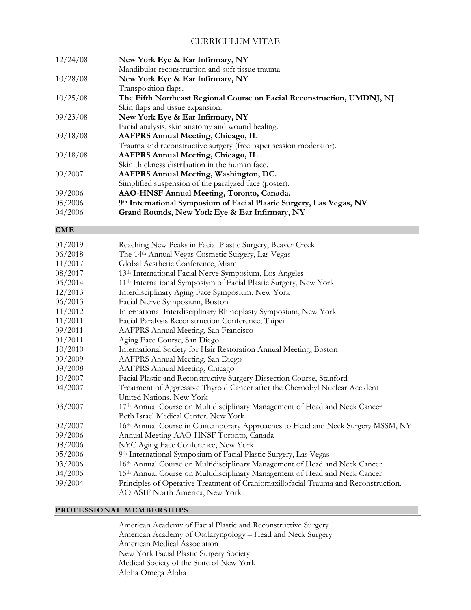| 12/24/08 | New York Eye & Ear Infirmary, NY                                        |
|----------|-------------------------------------------------------------------------|
|          | Mandibular reconstruction and soft tissue trauma.                       |
| 10/28/08 | New York Eye & Ear Infirmary, NY                                        |
|          | Transposition flaps.                                                    |
| 10/25/08 | The Fifth Northeast Regional Course on Facial Reconstruction, UMDNJ, NJ |
|          | Skin flaps and tissue expansion.                                        |
| 09/23/08 | New York Eye & Ear Infirmary, NY                                        |
|          | Facial analysis, skin anatomy and wound healing.                        |
| 09/18/08 | <b>AAFPRS Annual Meeting, Chicago, IL</b>                               |
|          | Trauma and reconstructive surgery (free paper session moderator).       |
| 09/18/08 | AAFPRS Annual Meeting, Chicago, IL                                      |
|          | Skin thickness distribution in the human face.                          |
| 09/2007  | AAFPRS Annual Meeting, Washington, DC.                                  |
|          | Simplified suspension of the paralyzed face (poster).                   |
| 09/2006  | AAO-HNSF Annual Meeting, Toronto, Canada.                               |
| 05/2006  | 9th International Symposium of Facial Plastic Surgery, Las Vegas, NV    |
| 04/2006  | Grand Rounds, New York Eye & Ear Infirmary, NY                          |

#### $\mathbf{CME}$   $\mathbf{CME}$   $\mathbf{CME}$   $\mathbf{CME}$   $\mathbf{CME}$   $\mathbf{CME}$   $\mathbf{CME}$   $\mathbf{CME}$   $\mathbf{CME}$   $\mathbf{CME}$   $\mathbf{CME}$   $\mathbf{CME}$   $\mathbf{CME}$   $\mathbf{CME}$   $\mathbf{CME}$   $\mathbf{CME}$   $\mathbf{CME}$   $\mathbf{CME}$   $\mathbf{CME}$   $\mathbf{CME}$   $\mathbf{CME}$   $\mathbf{CME}$

| 01/2019 | Reaching New Peaks in Facial Plastic Surgery, Beaver Creek                          |
|---------|-------------------------------------------------------------------------------------|
| 06/2018 | The 14th Annual Vegas Cosmetic Surgery, Las Vegas                                   |
| 11/2017 | Global Aesthetic Conference, Miami                                                  |
| 08/2017 | 13th International Facial Nerve Symposium, Los Angeles                              |
| 05/2014 | 11 <sup>th</sup> International Symposiym of Facial Plastic Surgery, New York        |
| 12/2013 | Interdisciplinary Aging Face Symposium, New York                                    |
| 06/2013 | Facial Nerve Symposium, Boston                                                      |
| 11/2012 | International Interdisciplinary Rhinoplasty Symposium, New York                     |
| 11/2011 | Facial Paralysis Reconstruction Conference, Taipei                                  |
| 09/2011 | AAFPRS Annual Meeting, San Francisco                                                |
| 01/2011 | Aging Face Course, San Diego                                                        |
| 10/2010 | International Society for Hair Restoration Annual Meeting, Boston                   |
| 09/2009 | AAFPRS Annual Meeting, San Diego                                                    |
| 09/2008 | AAFPRS Annual Meeting, Chicago                                                      |
| 10/2007 | Facial Plastic and Reconstructive Surgery Dissection Course, Stanford               |
| 04/2007 | Treatment of Aggressive Thyroid Cancer after the Chernobyl Nuclear Accident         |
|         | United Nations, New York                                                            |
| 03/2007 | 17th Annual Course on Multidisciplinary Management of Head and Neck Cancer          |
|         | Beth Israel Medical Center, New York                                                |
| 02/2007 | 16th Annual Course in Contemporary Approaches to Head and Neck Surgery MSSM, NY     |
| 09/2006 | Annual Meeting AAO-HNSF Toronto, Canada                                             |
| 08/2006 | NYC Aging Face Conference, New York                                                 |
| 05/2006 | 9th International Symposium of Facial Plastic Surgery, Las Vegas                    |
| 03/2006 | 16th Annual Course on Multidisciplinary Management of Head and Neck Cancer          |
| 04/2005 | 15th Annual Course on Multidisciplinary Management of Head and Neck Cancer          |
| 09/2004 | Principles of Operative Treatment of Craniomaxillofacial Trauma and Reconstruction. |
|         | AO ASIF North America, New York                                                     |

## **PROFESSIONAL MEMBERSHIPS \_**

American Academy of Facial Plastic and Reconstructive Surgery American Academy of Otolaryngology – Head and Neck Surgery American Medical Association New York Facial Plastic Surgery Society Medical Society of the State of New York Alpha Omega Alpha